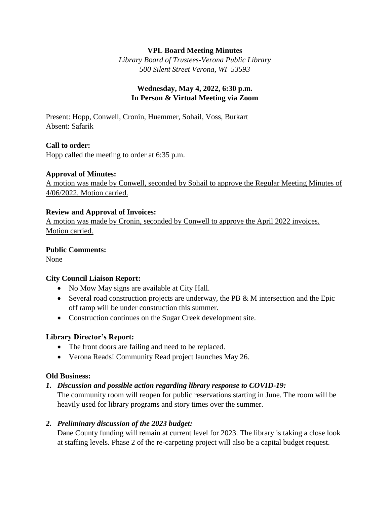### **VPL Board Meeting Minutes**

*Library Board of Trustees-Verona Public Library 500 Silent Street Verona, WI 53593*

# **Wednesday, May 4, 2022, 6:30 p.m. In Person & Virtual Meeting via Zoom**

Present: Hopp, Conwell, Cronin, Huemmer, Sohail, Voss, Burkart Absent: Safarik

# **Call to order:**

Hopp called the meeting to order at 6:35 p.m.

#### **Approval of Minutes:**

A motion was made by Conwell, seconded by Sohail to approve the Regular Meeting Minutes of 4/06/2022. Motion carried.

#### **Review and Approval of Invoices:**

A motion was made by Cronin, seconded by Conwell to approve the April 2022 invoices. Motion carried.

#### **Public Comments:**

None

# **City Council Liaison Report:**

- No Mow May signs are available at City Hall.
- Several road construction projects are underway, the PB  $\&$  M intersection and the Epic off ramp will be under construction this summer.
- Construction continues on the Sugar Creek development site.

#### **Library Director's Report:**

- The front doors are failing and need to be replaced.
- Verona Reads! Community Read project launches May 26.

#### **Old Business:**

# *1. Discussion and possible action regarding library response to COVID-19:*

The community room will reopen for public reservations starting in June. The room will be heavily used for library programs and story times over the summer.

# *2. Preliminary discussion of the 2023 budget:*

Dane County funding will remain at current level for 2023. The library is taking a close look at staffing levels. Phase 2 of the re-carpeting project will also be a capital budget request.